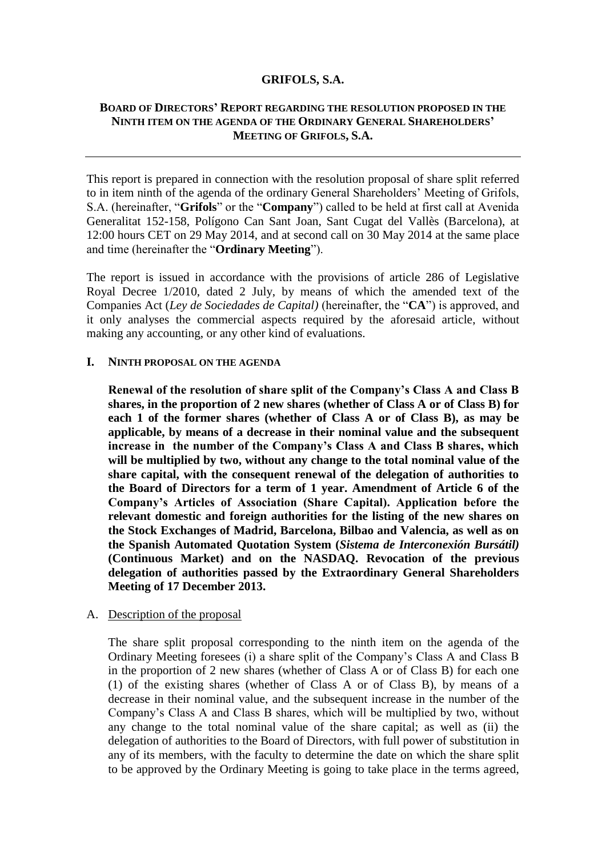### **GRIFOLS, S.A.**

# **BOARD OF DIRECTORS' REPORT REGARDING THE RESOLUTION PROPOSED IN THE NINTH ITEM ON THE AGENDA OF THE ORDINARY GENERAL SHAREHOLDERS' MEETING OF GRIFOLS, S.A.**

This report is prepared in connection with the resolution proposal of share split referred to in item ninth of the agenda of the ordinary General Shareholders' Meeting of Grifols, S.A. (hereinafter, "**Grifols**" or the "**Company**") called to be held at first call at Avenida Generalitat 152-158, Polígono Can Sant Joan, Sant Cugat del Vallès (Barcelona), at 12:00 hours CET on 29 May 2014, and at second call on 30 May 2014 at the same place and time (hereinafter the "**Ordinary Meeting**").

The report is issued in accordance with the provisions of article 286 of Legislative Royal Decree 1/2010, dated 2 July, by means of which the amended text of the Companies Act (*Ley de Sociedades de Capital)* (hereinafter, the "**CA**") is approved, and it only analyses the commercial aspects required by the aforesaid article, without making any accounting, or any other kind of evaluations.

#### **I. NINTH PROPOSAL ON THE AGENDA**

**Renewal of the resolution of share split of the Company's Class A and Class B shares, in the proportion of 2 new shares (whether of Class A or of Class B) for each 1 of the former shares (whether of Class A or of Class B), as may be applicable, by means of a decrease in their nominal value and the subsequent increase in the number of the Company's Class A and Class B shares, which will be multiplied by two, without any change to the total nominal value of the share capital, with the consequent renewal of the delegation of authorities to the Board of Directors for a term of 1 year. Amendment of Article 6 of the Company's Articles of Association (Share Capital). Application before the relevant domestic and foreign authorities for the listing of the new shares on the Stock Exchanges of Madrid, Barcelona, Bilbao and Valencia, as well as on the Spanish Automated Quotation System (***Sistema de Interconexión Bursátil)*  **(Continuous Market) and on the NASDAQ. Revocation of the previous delegation of authorities passed by the Extraordinary General Shareholders Meeting of 17 December 2013.**

## A. Description of the proposal

The share split proposal corresponding to the ninth item on the agenda of the Ordinary Meeting foresees (i) a share split of the Company's Class A and Class B in the proportion of 2 new shares (whether of Class A or of Class B) for each one (1) of the existing shares (whether of Class A or of Class B), by means of a decrease in their nominal value, and the subsequent increase in the number of the Company's Class A and Class B shares, which will be multiplied by two, without any change to the total nominal value of the share capital; as well as (ii) the delegation of authorities to the Board of Directors, with full power of substitution in any of its members, with the faculty to determine the date on which the share split to be approved by the Ordinary Meeting is going to take place in the terms agreed,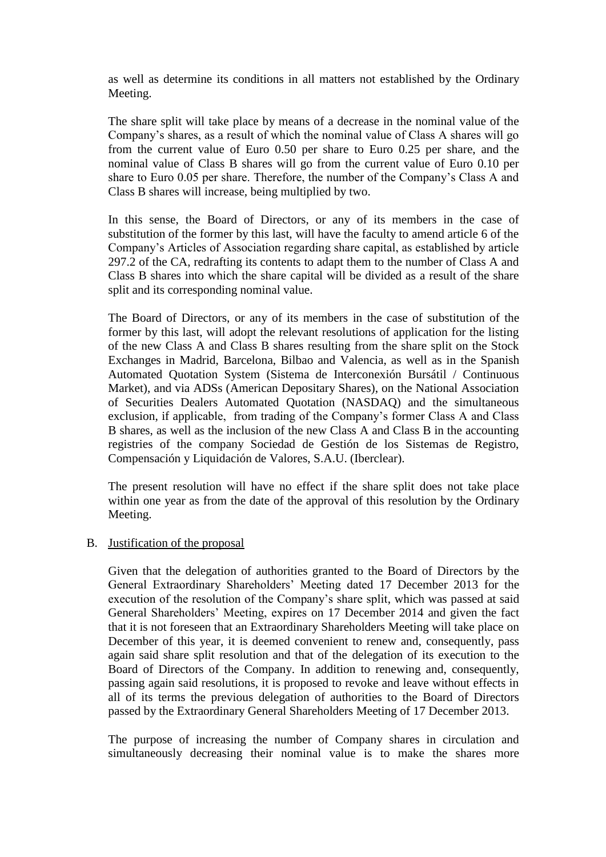as well as determine its conditions in all matters not established by the Ordinary Meeting.

The share split will take place by means of a decrease in the nominal value of the Company's shares, as a result of which the nominal value of Class A shares will go from the current value of Euro 0.50 per share to Euro 0.25 per share, and the nominal value of Class B shares will go from the current value of Euro 0.10 per share to Euro 0.05 per share. Therefore, the number of the Company's Class A and Class B shares will increase, being multiplied by two.

In this sense, the Board of Directors, or any of its members in the case of substitution of the former by this last, will have the faculty to amend article 6 of the Company's Articles of Association regarding share capital, as established by article 297.2 of the CA, redrafting its contents to adapt them to the number of Class A and Class B shares into which the share capital will be divided as a result of the share split and its corresponding nominal value.

The Board of Directors, or any of its members in the case of substitution of the former by this last, will adopt the relevant resolutions of application for the listing of the new Class A and Class B shares resulting from the share split on the Stock Exchanges in Madrid, Barcelona, Bilbao and Valencia, as well as in the Spanish Automated Quotation System (Sistema de Interconexión Bursátil / Continuous Market), and via ADSs (American Depositary Shares), on the National Association of Securities Dealers Automated Quotation (NASDAQ) and the simultaneous exclusion, if applicable, from trading of the Company's former Class A and Class B shares, as well as the inclusion of the new Class A and Class B in the accounting registries of the company Sociedad de Gestión de los Sistemas de Registro, Compensación y Liquidación de Valores, S.A.U. (Iberclear).

The present resolution will have no effect if the share split does not take place within one year as from the date of the approval of this resolution by the Ordinary Meeting.

## B. Justification of the proposal

Given that the delegation of authorities granted to the Board of Directors by the General Extraordinary Shareholders' Meeting dated 17 December 2013 for the execution of the resolution of the Company's share split, which was passed at said General Shareholders' Meeting, expires on 17 December 2014 and given the fact that it is not foreseen that an Extraordinary Shareholders Meeting will take place on December of this year, it is deemed convenient to renew and, consequently, pass again said share split resolution and that of the delegation of its execution to the Board of Directors of the Company. In addition to renewing and, consequently, passing again said resolutions, it is proposed to revoke and leave without effects in all of its terms the previous delegation of authorities to the Board of Directors passed by the Extraordinary General Shareholders Meeting of 17 December 2013.

The purpose of increasing the number of Company shares in circulation and simultaneously decreasing their nominal value is to make the shares more